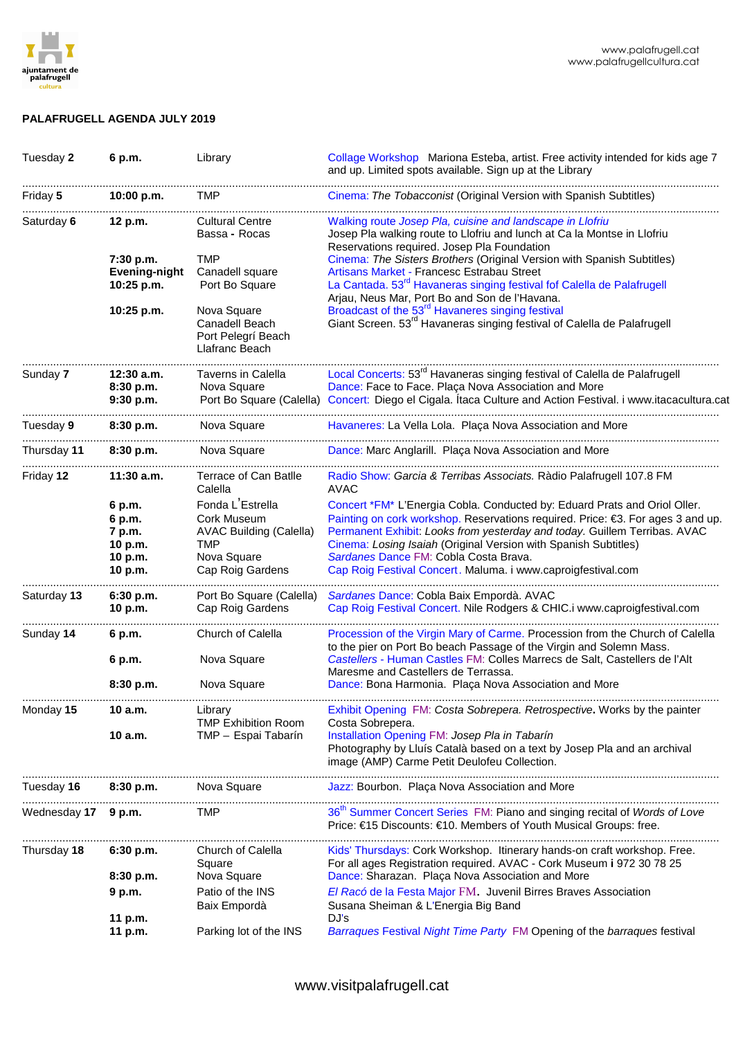

## **PALAFRUGELL AGENDA JULY 2019**

| Tuesday 2           | 6 p.m.                                                      | Library                                                                                                                                                                                                                                                                                   | Collage Workshop Mariona Esteba, artist. Free activity intended for kids age 7<br>and up. Limited spots available. Sign up at the Library                                                                                                                                                                                                                                                                             |
|---------------------|-------------------------------------------------------------|-------------------------------------------------------------------------------------------------------------------------------------------------------------------------------------------------------------------------------------------------------------------------------------------|-----------------------------------------------------------------------------------------------------------------------------------------------------------------------------------------------------------------------------------------------------------------------------------------------------------------------------------------------------------------------------------------------------------------------|
| Friday 5            | 10:00 p.m.                                                  | <b>TMP</b>                                                                                                                                                                                                                                                                                | Cinema: The Tobacconist (Original Version with Spanish Subtitles)                                                                                                                                                                                                                                                                                                                                                     |
| Saturday 6          | 12 p.m.<br>7:30 p.m.<br>Evening-night                       | <b>Cultural Centre</b><br>Bassa - Rocas<br><b>TMP</b><br>Canadell square                                                                                                                                                                                                                  | Walking route Josep Pla, cuisine and landscape in Llofriu<br>Josep Pla walking route to Llofriu and lunch at Ca la Montse in Llofriu<br>Reservations required. Josep Pla Foundation<br>Cinema: The Sisters Brothers (Original Version with Spanish Subtitles)<br>Artisans Market - Francesc Estrabau Street                                                                                                           |
|                     | 10:25 p.m.<br>10:25 p.m.                                    | Port Bo Square<br>Nova Square<br>Canadell Beach<br>Port Pelegrí Beach<br>Llafranc Beach                                                                                                                                                                                                   | La Cantada. 53 <sup>rd</sup> Havaneras singing festival fof Calella de Palafrugell<br>Arjau, Neus Mar, Port Bo and Son de l'Havana.<br>Broadcast of the 53 <sup>rd</sup> Havaneres singing festival<br>Giant Screen. 53rd Havaneras singing festival of Calella de Palafrugell                                                                                                                                        |
| Sunday 7            | 12:30 a.m.<br>8:30 p.m.<br>9:30 p.m.                        | Local Concerts: 53rd Havaneras singing festival of Calella de Palafrugell<br>Taverns in Calella<br>Dance: Face to Face. Plaça Nova Association and More<br>Nova Square<br>Concert: Diego el Cigala. Itaca Culture and Action Festival. i www.itacacultura.cat<br>Port Bo Square (Calella) |                                                                                                                                                                                                                                                                                                                                                                                                                       |
| Tuesday 9           | 8:30 p.m.                                                   | Nova Square                                                                                                                                                                                                                                                                               | Havaneres: La Vella Lola. Plaça Nova Association and More                                                                                                                                                                                                                                                                                                                                                             |
| Thursday 11         | 8:30 p.m.                                                   | Nova Square                                                                                                                                                                                                                                                                               | Dance: Marc Anglarill. Plaça Nova Association and More                                                                                                                                                                                                                                                                                                                                                                |
| Friday 12           | $11:30$ a.m.                                                | Terrace of Can Batlle<br>Calella                                                                                                                                                                                                                                                          | Radio Show: Garcia & Terribas Associats. Ràdio Palafrugell 107.8 FM<br><b>AVAC</b>                                                                                                                                                                                                                                                                                                                                    |
|                     | 6 p.m.<br>6 p.m.<br>7 p.m.<br>10 p.m.<br>10 p.m.<br>10 p.m. | Fonda L'Estrella<br>Cork Museum<br><b>AVAC Building (Calella)</b><br><b>TMP</b><br>Nova Square<br>Cap Roig Gardens                                                                                                                                                                        | Concert *FM* L'Energia Cobla. Conducted by: Eduard Prats and Oriol Oller.<br>Painting on cork workshop. Reservations required. Price: €3. For ages 3 and up.<br>Permanent Exhibit: Looks from yesterday and today. Guillem Terribas. AVAC<br>Cinema: Losing Isaiah (Original Version with Spanish Subtitles)<br>Sardanes Dance FM: Cobla Costa Brava.<br>Cap Roig Festival Concert. Maluma. i www.caproigfestival.com |
| Saturday 13         | 6:30 p.m.<br>10 p.m.                                        | Sardanes Dance: Cobla Baix Empordà. AVAC<br>Port Bo Square (Calella)<br>Cap Roig Festival Concert. Nile Rodgers & CHIC.i www.caproigfestival.com<br>Cap Roig Gardens                                                                                                                      |                                                                                                                                                                                                                                                                                                                                                                                                                       |
| Sunday 14           | 6 p.m.                                                      | Church of Calella                                                                                                                                                                                                                                                                         | Procession of the Virgin Mary of Carme. Procession from the Church of Calella<br>to the pier on Port Bo beach Passage of the Virgin and Solemn Mass.                                                                                                                                                                                                                                                                  |
|                     | 6 p.m.<br>8:30 p.m.                                         | Nova Square<br>Nova Square                                                                                                                                                                                                                                                                | Castellers - Human Castles FM: Colles Marrecs de Salt, Castellers de l'Alt<br>Maresme and Castellers de Terrassa.<br>Dance: Bona Harmonia. Plaça Nova Association and More                                                                                                                                                                                                                                            |
| Monday 15           | 10 a.m.                                                     | Library<br><b>TMP Exhibition Room</b>                                                                                                                                                                                                                                                     | Exhibit Opening FM: Costa Sobrepera. Retrospective. Works by the painter<br>Costa Sobrepera.                                                                                                                                                                                                                                                                                                                          |
|                     | 10 a.m.                                                     | TMP - Espai Tabarín                                                                                                                                                                                                                                                                       | Installation Opening FM: Josep Pla in Tabarín<br>Photography by Lluís Català based on a text by Josep Pla and an archival<br>image (AMP) Carme Petit Deulofeu Collection.                                                                                                                                                                                                                                             |
| Tuesday 16          | 8:30 p.m.                                                   | Nova Square                                                                                                                                                                                                                                                                               | Jazz: Bourbon. Plaça Nova Association and More                                                                                                                                                                                                                                                                                                                                                                        |
| Wednesday 17 9 p.m. |                                                             | <b>TMP</b>                                                                                                                                                                                                                                                                                | 36 <sup>th</sup> Summer Concert Series FM: Piano and singing recital of Words of Love<br>Price: €15 Discounts: €10. Members of Youth MusicalGroups: free.                                                                                                                                                                                                                                                             |
| Thursday 18         | 6:30 p.m.                                                   | Church of Calella<br>Square                                                                                                                                                                                                                                                               | Kids' Thursdays: Cork Workshop. Itinerary hands-on craft workshop. Free.<br>For all ages Registration required. AVAC - Cork Museum i 972 30 78 25                                                                                                                                                                                                                                                                     |
|                     | 8:30 p.m.<br>9 p.m.                                         | Nova Square<br>Patio of the INS                                                                                                                                                                                                                                                           | Dance: Sharazan. Plaça Nova Association and More<br>El Racó de la Festa Major FM. Juvenil Birres Braves Association                                                                                                                                                                                                                                                                                                   |
|                     |                                                             | Baix Empordà                                                                                                                                                                                                                                                                              | Susana Sheiman & L'Energia Big Band                                                                                                                                                                                                                                                                                                                                                                                   |
|                     | 11 p.m.<br>11 p.m.                                          | Parking lot of the INS                                                                                                                                                                                                                                                                    | DJ's<br>Barraques Festival Night Time Party FM Opening of the barraques festival                                                                                                                                                                                                                                                                                                                                      |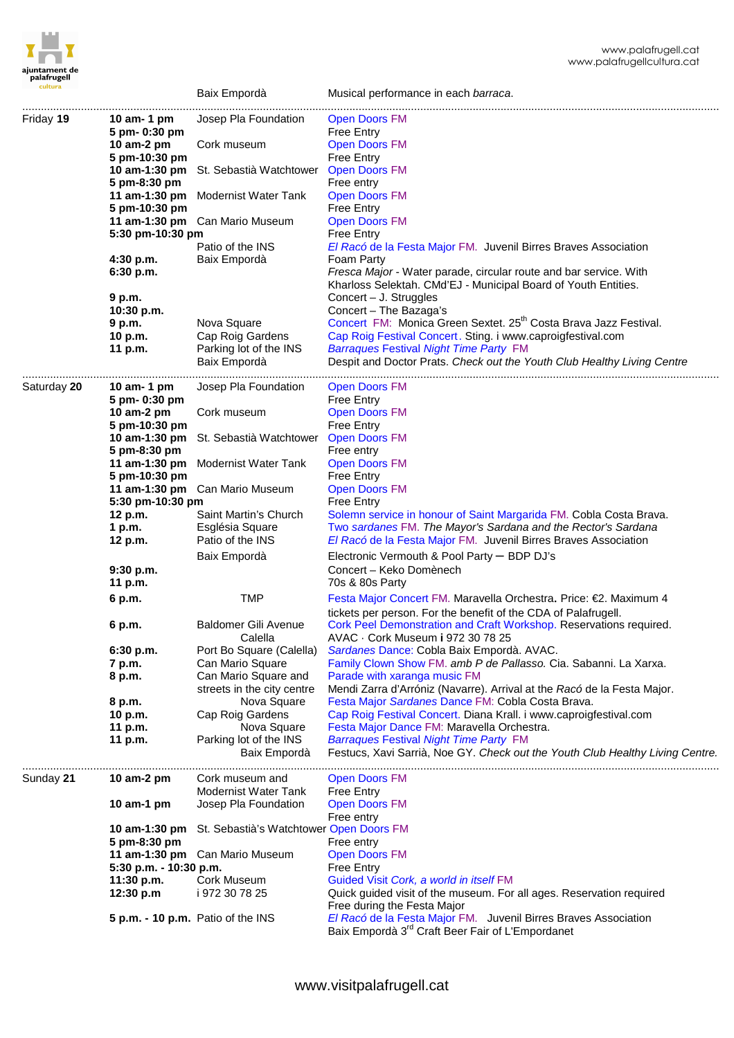|             |                        | DAIX EIIIpulua                          | Musical performance in each <i>barraca</i> .                                                                                                                                                                     |
|-------------|------------------------|-----------------------------------------|------------------------------------------------------------------------------------------------------------------------------------------------------------------------------------------------------------------|
| Friday 19   | 10 am- $1$ pm          | Josep Pla Foundation                    | <b>Open Doors FM</b>                                                                                                                                                                                             |
|             | 5 pm- 0:30 pm          |                                         | <b>Free Entry</b>                                                                                                                                                                                                |
|             | 10 am-2 pm             | Cork museum                             | <b>Open Doors FM</b>                                                                                                                                                                                             |
|             | 5 pm-10:30 pm          |                                         | <b>Free Entry</b>                                                                                                                                                                                                |
|             |                        |                                         |                                                                                                                                                                                                                  |
|             | 10 am-1:30 pm          | St. Sebastià Watchtower                 | <b>Open Doors FM</b>                                                                                                                                                                                             |
|             | 5 pm-8:30 pm           |                                         | Free entry                                                                                                                                                                                                       |
|             | 11 am-1:30 pm          | Modernist Water Tank                    | <b>Open Doors FM</b>                                                                                                                                                                                             |
|             | 5 pm-10:30 pm          |                                         | <b>Free Entry</b>                                                                                                                                                                                                |
|             |                        | 11 am-1:30 pm Can Mario Museum          | <b>Open Doors FM</b>                                                                                                                                                                                             |
|             | 5:30 pm-10:30 pm       |                                         | <b>Free Entry</b>                                                                                                                                                                                                |
|             |                        | Patio of the INS                        | El Racó de la Festa Major FM. Juvenil Birres Braves Association                                                                                                                                                  |
|             | 4:30 p.m.              | Baix Empordà                            | Foam Party                                                                                                                                                                                                       |
|             | 6:30 p.m.              |                                         | Fresca Major - Water parade, circular route and bar service. With                                                                                                                                                |
|             |                        |                                         | Kharloss Selektah. CMd'EJ - Municipal Board of Youth Entities.                                                                                                                                                   |
|             | 9 p.m.                 |                                         | Concert - J. Struggles                                                                                                                                                                                           |
|             |                        |                                         |                                                                                                                                                                                                                  |
|             | 10:30 p.m.             |                                         | Concert - The Bazaga's                                                                                                                                                                                           |
|             | 9 p.m.                 | Nova Square                             | Concert FM: Monica Green Sextet. 25 <sup>th</sup> Costa Brava Jazz Festival.                                                                                                                                     |
|             | 10 p.m.                | Cap Roig Gardens                        | Cap Roig Festival Concert. Sting. i www.caproigfestival.com                                                                                                                                                      |
|             | 11 p.m.                | Parking lot of the INS                  | <b>Barraques Festival Night Time Party FM</b>                                                                                                                                                                    |
|             |                        | Baix Empordà                            | Despit and Doctor Prats. Check out the Youth Club Healthy Living Centre                                                                                                                                          |
|             |                        |                                         |                                                                                                                                                                                                                  |
| Saturday 20 | 10 am $-$ 1 pm         | Josep Pla Foundation                    | <b>Open Doors FM</b>                                                                                                                                                                                             |
|             | 5 pm- 0:30 pm          |                                         | Free Entry                                                                                                                                                                                                       |
|             | 10 am-2 pm             | Cork museum                             | <b>Open Doors FM</b>                                                                                                                                                                                             |
|             | 5 pm-10:30 pm          |                                         | <b>Free Entry</b>                                                                                                                                                                                                |
|             | 10 am-1:30 pm          | St. Sebastià Watchtower                 | <b>Open Doors FM</b>                                                                                                                                                                                             |
|             | 5 pm-8:30 pm           |                                         | Free entry                                                                                                                                                                                                       |
|             | 11 am-1:30 pm          | Modernist Water Tank                    | <b>Open Doors FM</b>                                                                                                                                                                                             |
|             | 5 pm-10:30 pm          |                                         | <b>Free Entry</b>                                                                                                                                                                                                |
|             |                        | 11 am-1:30 pm Can Mario Museum          | <b>Open Doors FM</b>                                                                                                                                                                                             |
|             | 5:30 pm-10:30 pm       |                                         | <b>Free Entry</b>                                                                                                                                                                                                |
|             |                        |                                         |                                                                                                                                                                                                                  |
|             | 12 p.m.                | Saint Martin's Church                   | Solemn service in honour of Saint Margarida FM. Cobla Costa Brava.                                                                                                                                               |
|             | 1 p.m.                 | Església Square                         | Two sardanes FM. The Mayor's Sardana and the Rector's Sardana                                                                                                                                                    |
|             | 12 p.m.                | Patio of the INS                        | El Racó de la Festa Major FM. Juvenil Birres Braves Association                                                                                                                                                  |
|             |                        |                                         |                                                                                                                                                                                                                  |
|             |                        | Baix Empordà                            |                                                                                                                                                                                                                  |
|             |                        |                                         | Electronic Vermouth & Pool Party - BDP DJ's                                                                                                                                                                      |
|             | 9:30 p.m.              |                                         | Concert - Keko Domènech                                                                                                                                                                                          |
|             | 11 p.m.                |                                         | 70s & 80s Party                                                                                                                                                                                                  |
|             | 6 p.m.                 | <b>TMP</b>                              | Festa Major Concert FM. Maravella Orchestra. Price: €2. Maximum 4                                                                                                                                                |
|             |                        |                                         | tickets per person. For the benefit of the CDA of Palafrugell.                                                                                                                                                   |
|             | 6 p.m.                 | <b>Baldomer Gili Avenue</b>             | Cork Peel Demonstration and Craft Workshop. Reservations required.                                                                                                                                               |
|             |                        | Calella                                 | AVAC · Cork Museum i 972 30 78 25                                                                                                                                                                                |
|             |                        |                                         |                                                                                                                                                                                                                  |
|             | 6:30 p.m.              | Port Bo Square (Calella)                | Sardanes Dance: Cobla Baix Empordà. AVAC.                                                                                                                                                                        |
|             | 7 p.m.                 | Can Mario Square                        | Family Clown Show FM. amb P de Pallasso. Cia. Sabanni. La Xarxa.                                                                                                                                                 |
|             | 8 p.m.                 | Can Mario Square and                    | Parade with xaranga music FM                                                                                                                                                                                     |
|             |                        | streets in the city centre              | Mendi Zarra d'Arróniz (Navarre). Arrival at the Racó de la Festa Major.                                                                                                                                          |
|             | 8 p.m.                 | Nova Square                             | Festa Major Sardanes Dance FM: Cobla Costa Brava.                                                                                                                                                                |
|             | 10 p.m.                | Cap Roig Gardens                        | Cap Roig Festival Concert. Diana Krall. i www.caproigfestival.com                                                                                                                                                |
|             | 11 p.m.                | Nova Square                             | Festa Major Dance FM: Maravella Orchestra.                                                                                                                                                                       |
|             | 11 p.m.                | Parking lot of the INS                  | <b>Barraques Festival Night Time Party FM</b>                                                                                                                                                                    |
|             |                        | Baix Empordà                            |                                                                                                                                                                                                                  |
|             |                        |                                         |                                                                                                                                                                                                                  |
| Sunday 21   | 10 $am-2$ pm           | Cork museum and                         | <b>Open Doors FM</b>                                                                                                                                                                                             |
|             |                        | Modernist Water Tank                    | <b>Free Entry</b>                                                                                                                                                                                                |
|             | 10 $am-1$ pm           | Josep Pla Foundation                    | <b>Open Doors FM</b>                                                                                                                                                                                             |
|             |                        |                                         |                                                                                                                                                                                                                  |
|             |                        |                                         | Free entry                                                                                                                                                                                                       |
|             | 10 am-1:30 $pm$        | St. Sebastià's Watchtower Open Doors FM |                                                                                                                                                                                                                  |
|             | 5 pm-8:30 pm           |                                         | Free entry                                                                                                                                                                                                       |
|             |                        | 11 am-1:30 pm Can Mario Museum          | <b>Open Doors FM</b>                                                                                                                                                                                             |
|             | 5:30 p.m. - 10:30 p.m. |                                         | Free Entry                                                                                                                                                                                                       |
|             | 11:30 p.m.             | Cork Museum                             | Guided Visit Cork, a world in itself FM                                                                                                                                                                          |
|             | 12:30 p.m              | i 972 30 78 25                          | Quick guided visit of the museum. For all ages. Reservation required                                                                                                                                             |
|             |                        |                                         | Free during the Festa Major                                                                                                                                                                                      |
|             |                        | 5 p.m. - 10 p.m. Patio of the INS       | Festucs, Xavi Sarrià, Noe GY. Check out the Youth Club Healthy Living Centre.<br>El Racó de la Festa Major FM. Juvenil Birres Braves Association<br>Baix Empordà 3 <sup>rd</sup> Craft Beer Fair of L'Empordanet |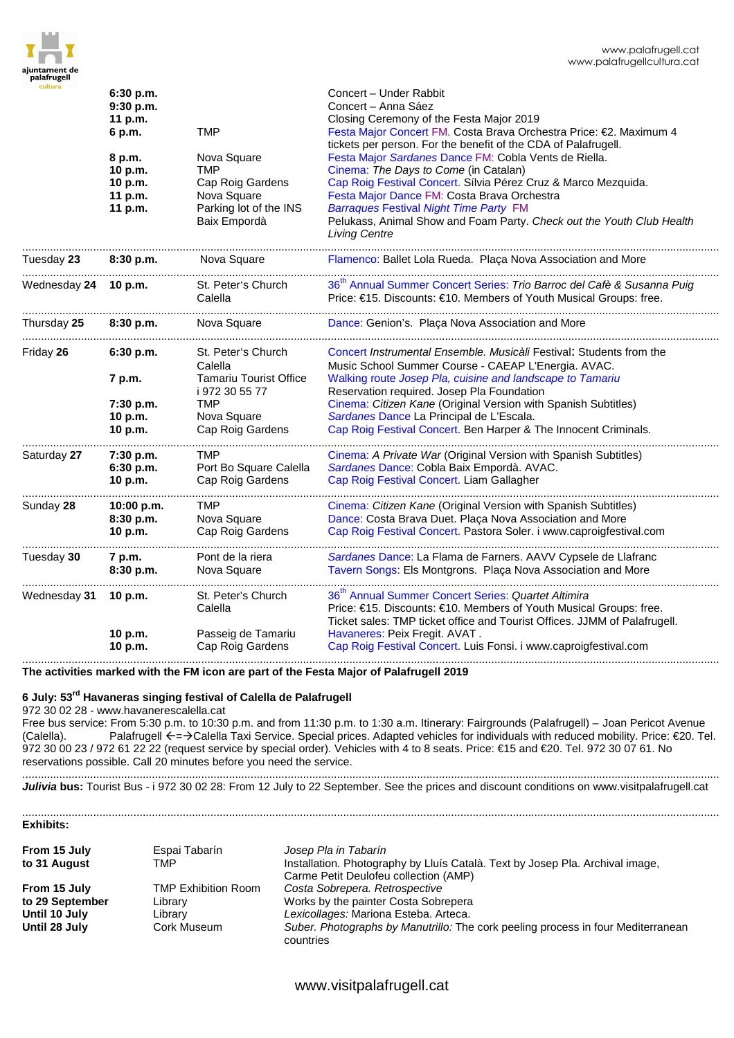

| cultura              | 6:30 p.m.<br>9:30 p.m.<br>11 p.m.<br><b>TMP</b><br>6 p.m. |                                                                                                        | Concert - Under Rabbit<br>Concert - Anna Sáez<br>Closing Ceremony of the Festa Major 2019<br>Festa Major Concert FM. Costa Brava Orchestra Price: €2. Maximum 4<br>tickets per person. For the benefit of the CDA of Palafrugell.                                                                                                                                 |
|----------------------|-----------------------------------------------------------|--------------------------------------------------------------------------------------------------------|-------------------------------------------------------------------------------------------------------------------------------------------------------------------------------------------------------------------------------------------------------------------------------------------------------------------------------------------------------------------|
|                      | 8 p.m.<br>10 p.m.<br>10 p.m.<br>11 p.m.<br>11 p.m.        | Nova Square<br><b>TMP</b><br>Cap Roig Gardens<br>Nova Square<br>Parking lot of the INS<br>Baix Empordà | Festa Major Sardanes Dance FM: Cobla Vents de Riella.<br>Cinema: The Days to Come (in Catalan)<br>Cap Roig Festival Concert. Sílvia Pérez Cruz & Marco Mezquida.<br>Festa Major Dance FM: Costa Brava Orchestra<br><b>Barraques Festival Night Time Party FM</b><br>Pelukass, Animal Show and Foam Party. Check out the Youth Club Health<br><b>Living Centre</b> |
| Tuesday 23           | 8:30 p.m.                                                 | Nova Square                                                                                            | Flamenco: Ballet Lola Rueda. Plaça Nova Association and More                                                                                                                                                                                                                                                                                                      |
| Wednesday 24 10 p.m. |                                                           | St. Peter's Church<br>Calella                                                                          | 36 <sup>th</sup> Annual Summer Concert Series: Trio Barroc del Cafè & Susanna Puig<br>Price: €15. Discounts: €10. Members of Youth Musical Groups: free.                                                                                                                                                                                                          |
| Thursday 25          | 8:30 p.m.                                                 | Nova Square                                                                                            | Dance: Genion's. Plaça Nova Association and More                                                                                                                                                                                                                                                                                                                  |
| Friday 26            | 6:30 p.m.                                                 | St. Peter's Church<br>Calella                                                                          | Concert Instrumental Ensemble. Musicàli Festival: Students from the<br>Music School Summer Course - CAEAP L'Energia. AVAC.                                                                                                                                                                                                                                        |
|                      | 7 p.m.<br>7:30 p.m.<br>10 p.m.<br>10 p.m.                 | <b>Tamariu Tourist Office</b><br>i 972 30 55 77<br><b>TMP</b><br>Nova Square<br>Cap Roig Gardens       | Walking route Josep Pla, cuisine and landscape to Tamariu<br>Reservation required. Josep Pla Foundation<br>Cinema: Citizen Kane (Original Version with Spanish Subtitles)<br>Sardanes Dance La Principal de L'Escala.<br>Cap Roig Festival Concert. Ben Harper & The Innocent Criminals.                                                                          |
| Saturday 27          | 7:30 p.m.<br>6:30 p.m.<br>10 p.m.                         | .<br>TMP<br>Port Bo Square Calella<br>Cap Roig Gardens                                                 | Cinema: A Private War (Original Version with Spanish Subtitles)<br>Sardanes Dance: Cobla Baix Empordà. AVAC.<br>Cap Roig Festival Concert. Liam Gallagher                                                                                                                                                                                                         |
| Sunday 28            | 10:00 p.m.<br>8:30 p.m.<br>10 p.m.                        | <b>TMP</b><br>Nova Square<br>Cap Roig Gardens                                                          | Cinema: Citizen Kane (Original Version with Spanish Subtitles)<br>Dance: Costa Brava Duet. Plaça Nova Association and More<br>Cap Roig Festival Concert. Pastora Soler. i www.caproigfestival.com                                                                                                                                                                 |
| Tuesday 30           | 7 p.m.<br>8:30 p.m.                                       | Pont de la riera<br>Nova Square                                                                        | Sardanes Dance: La Flama de Farners. AAVV Cypsele de Llafranc<br>Tavern Songs: Els Montgrons. Plaça Nova Association and More                                                                                                                                                                                                                                     |
| Wednesday 31         | 10 p.m.<br>10 p.m.                                        | St. Peter's Church<br>Calella<br>Passeig de Tamariu                                                    | 36 <sup>th</sup> Annual Summer Concert Series: Quartet Altimira<br>Price: €15. Discounts: €10. Members of Youth Musical Groups: free.<br>Ticket sales: TMP ticket office and Tourist Offices. JJMM of Palafrugell.<br>Havaneres: Peix Fregit. AVAT.                                                                                                               |
|                      | 10 p.m.                                                   | Cap Roig Gardens                                                                                       | Cap Roig Festival Concert. Luis Fonsi. i www.caproigfestival.com                                                                                                                                                                                                                                                                                                  |

**The activities marked with the FM icon are part of the Festa Major of Palafrugell 2019** 

## **6 July: 53rd Havaneras singing festival of Calella de Palafrugell**

972 30 02 28 - www.havanerescalella.cat

Free bus service: From 5:30 p.m. to 10:30 p.m. and from 11:30 p.m. to 1:30 a.m. Itinerary: Fairgrounds (Palafrugell) – Joan Pericot Avenue (Calella). Palafrugell ←=→Calella Taxi Service. Special prices. Adapted vehicles for individuals with reduced mobility. Price: €20. Tel. 972 30 00 23 / 972 61 22 22 (request service by special order). Vehicles with 4 to 8 seats. Price: €15 and €20. Tel. 972 30 07 61. No reservations possible. Call 20 minutes before you need the service.

..................................................................................................................................................................................................................................

.................................................................................................................................................................................................................................. Julivia bus: Tourist Bus - i 972 30 02 28: From 12 July to 22 September. See the prices and discount conditions on www.visitpalafrugell.cat

.................................................................................................................................................................................................................................. **Exhibits:** 

| From 15 July<br>to 31 August | Espai Tabarín<br>TMP       | Josep Pla in Tabarín<br>Installation. Photography by Lluís Català. Text by Josep Pla. Archival image, |
|------------------------------|----------------------------|-------------------------------------------------------------------------------------------------------|
| From 15 July                 | <b>TMP Exhibition Room</b> | Carme Petit Deulofeu collection (AMP)<br>Costa Sobrepera. Retrospective                               |
| to 29 September              | Library                    | Works by the painter Costa Sobrepera                                                                  |
| Until 10 July                | Librarv                    | Lexicollages: Mariona Esteba. Arteca.                                                                 |
| Until 28 July                | Cork Museum                | Suber. Photographs by Manutrillo: The cork peeling process in four Mediterranean<br>countries         |